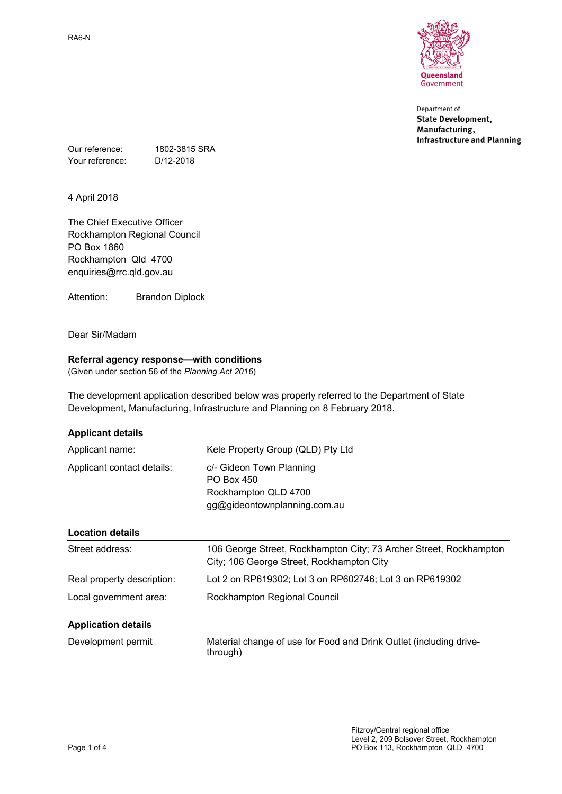

Department of **State Development,** Manufacturing, **Infrastructure and Planning** 

Our reference: 1802-3815 SRA Your reference: D/12-2018

4 April 2018

The Chief Executive Officer Rockhampton Regional Council PO Box 1860 Rockhampton Qld 4700 enquiries@rrc.qld.gov.au

Attention: Brandon Diplock

Dear Sir/Madam

# **Referral agency response—with conditions**

(Given under section 56 of the *Planning Act 2016*)

The development application described below was properly referred to the Department of State Development, Manufacturing, Infrastructure and Planning on 8 February 2018.

| <b>Applicant details</b> |  |
|--------------------------|--|
|                          |  |

| Applicant name:            | Kele Property Group (QLD) Pty Ltd                                                                               |  |
|----------------------------|-----------------------------------------------------------------------------------------------------------------|--|
| Applicant contact details: | c/- Gideon Town Planning<br>PO Box 450<br>Rockhampton QLD 4700<br>gg@gideontownplanning.com.au                  |  |
| <b>Location details</b>    |                                                                                                                 |  |
| Street address:            | 106 George Street, Rockhampton City; 73 Archer Street, Rockhampton<br>City; 106 George Street, Rockhampton City |  |
| Real property description: | Lot 2 on RP619302; Lot 3 on RP602746; Lot 3 on RP619302                                                         |  |
| Local government area:     | Rockhampton Regional Council                                                                                    |  |
| <b>Application details</b> |                                                                                                                 |  |
| Development permit         | Material change of use for Food and Drink Outlet (including drive-<br>through)                                  |  |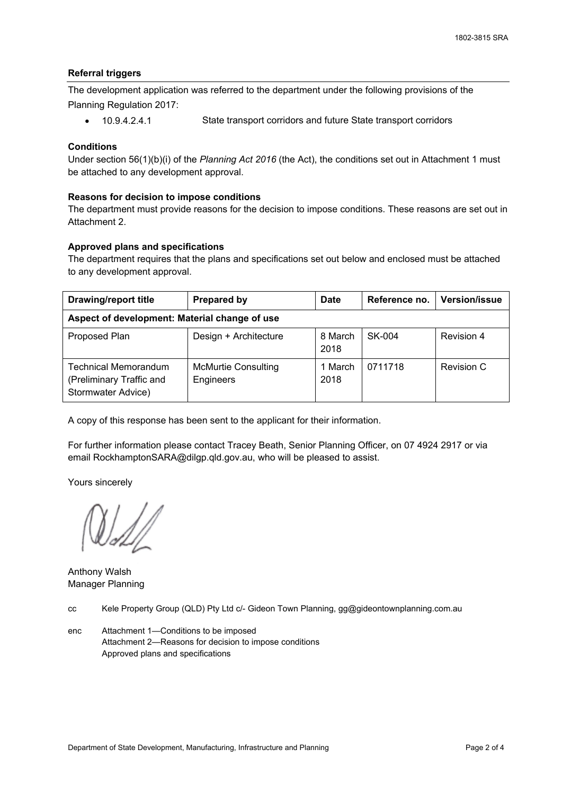#### **Referral triggers**

The development application was referred to the department under the following provisions of the Planning Regulation 2017:

10.9.4.2.4.1 State transport corridors and future State transport corridors

#### **Conditions**

Under section 56(1)(b)(i) of the *Planning Act 2016* (the Act), the conditions set out in Attachment 1 must be attached to any development approval.

#### **Reasons for decision to impose conditions**

The department must provide reasons for the decision to impose conditions. These reasons are set out in Attachment 2.

## **Approved plans and specifications**

The department requires that the plans and specifications set out below and enclosed must be attached to any development approval.

| <b>Drawing/report title</b>                                                   | <b>Prepared by</b>                      | <b>Date</b>     | Reference no. | <b>Version/issue</b> |  |  |
|-------------------------------------------------------------------------------|-----------------------------------------|-----------------|---------------|----------------------|--|--|
| Aspect of development: Material change of use                                 |                                         |                 |               |                      |  |  |
| Proposed Plan                                                                 | Design + Architecture                   | 8 March<br>2018 | SK-004        | Revision 4           |  |  |
| <b>Technical Memorandum</b><br>(Preliminary Traffic and<br>Stormwater Advice) | <b>McMurtie Consulting</b><br>Engineers | 1 March<br>2018 | 0711718       | Revision C           |  |  |

A copy of this response has been sent to the applicant for their information.

For further information please contact Tracey Beath, Senior Planning Officer, on 07 4924 2917 or via email RockhamptonSARA@dilgp.qld.gov.au, who will be pleased to assist.

Yours sincerely

Anthony Walsh Manager Planning

cc Kele Property Group (QLD) Pty Ltd c/- Gideon Town Planning, gg@gideontownplanning.com.au

enc Attachment 1—Conditions to be imposed Attachment 2—Reasons for decision to impose conditions Approved plans and specifications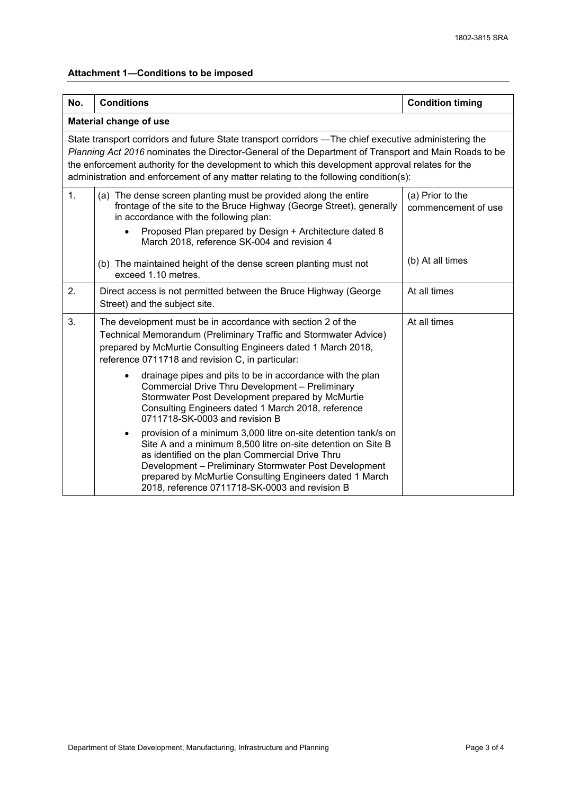# **Attachment 1—Conditions to be imposed**

| No.                                                                                                                                                                                                                                                                                                                                                                                                       | <b>Conditions</b>                                                                                                                                                                                                                                                                                                                                                    | <b>Condition timing</b>                 |  |  |  |  |
|-----------------------------------------------------------------------------------------------------------------------------------------------------------------------------------------------------------------------------------------------------------------------------------------------------------------------------------------------------------------------------------------------------------|----------------------------------------------------------------------------------------------------------------------------------------------------------------------------------------------------------------------------------------------------------------------------------------------------------------------------------------------------------------------|-----------------------------------------|--|--|--|--|
| Material change of use                                                                                                                                                                                                                                                                                                                                                                                    |                                                                                                                                                                                                                                                                                                                                                                      |                                         |  |  |  |  |
| State transport corridors and future State transport corridors -The chief executive administering the<br>Planning Act 2016 nominates the Director-General of the Department of Transport and Main Roads to be<br>the enforcement authority for the development to which this development approval relates for the<br>administration and enforcement of any matter relating to the following condition(s): |                                                                                                                                                                                                                                                                                                                                                                      |                                         |  |  |  |  |
| 1.                                                                                                                                                                                                                                                                                                                                                                                                        | (a) The dense screen planting must be provided along the entire<br>frontage of the site to the Bruce Highway (George Street), generally<br>in accordance with the following plan:                                                                                                                                                                                    | (a) Prior to the<br>commencement of use |  |  |  |  |
|                                                                                                                                                                                                                                                                                                                                                                                                           | Proposed Plan prepared by Design + Architecture dated 8<br>March 2018, reference SK-004 and revision 4                                                                                                                                                                                                                                                               |                                         |  |  |  |  |
|                                                                                                                                                                                                                                                                                                                                                                                                           | (b) The maintained height of the dense screen planting must not<br>exceed 1.10 metres.                                                                                                                                                                                                                                                                               | (b) At all times                        |  |  |  |  |
| 2.                                                                                                                                                                                                                                                                                                                                                                                                        | Direct access is not permitted between the Bruce Highway (George<br>Street) and the subject site.                                                                                                                                                                                                                                                                    | At all times                            |  |  |  |  |
| 3.                                                                                                                                                                                                                                                                                                                                                                                                        | The development must be in accordance with section 2 of the<br>Technical Memorandum (Preliminary Traffic and Stormwater Advice)<br>prepared by McMurtie Consulting Engineers dated 1 March 2018,<br>reference 0711718 and revision C, in particular:                                                                                                                 | At all times                            |  |  |  |  |
|                                                                                                                                                                                                                                                                                                                                                                                                           | drainage pipes and pits to be in accordance with the plan<br>Commercial Drive Thru Development - Preliminary<br>Stormwater Post Development prepared by McMurtie<br>Consulting Engineers dated 1 March 2018, reference<br>0711718-SK-0003 and revision B                                                                                                             |                                         |  |  |  |  |
|                                                                                                                                                                                                                                                                                                                                                                                                           | provision of a minimum 3,000 litre on-site detention tank/s on<br>$\bullet$<br>Site A and a minimum 8,500 litre on-site detention on Site B<br>as identified on the plan Commercial Drive Thru<br>Development - Preliminary Stormwater Post Development<br>prepared by McMurtie Consulting Engineers dated 1 March<br>2018, reference 0711718-SK-0003 and revision B |                                         |  |  |  |  |